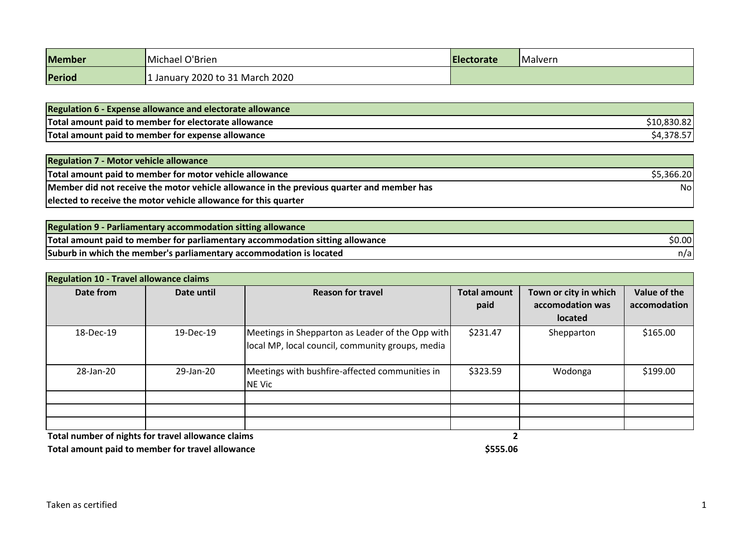| Member | Michael O'Brien                 | <b>IElectorate</b> | Malvern |
|--------|---------------------------------|--------------------|---------|
| Period | 1 January 2020 to 31 March 2020 |                    |         |

| <b>Regulation 6 - Expense allowance and electorate allowance</b> |  |
|------------------------------------------------------------------|--|
| Total amount paid to member for electorate allowance             |  |
| Total amount paid to member for expense allowance                |  |

| <b>Regulation 7 - Motor vehicle allowance</b>                                             |            |
|-------------------------------------------------------------------------------------------|------------|
| Total amount paid to member for motor vehicle allowance                                   | \$5,366.20 |
| Member did not receive the motor vehicle allowance in the previous quarter and member has | Nol        |
| elected to receive the motor vehicle allowance for this quarter                           |            |

| Regulation 9 - Parliamentary accommodation sitting allowance                  |        |
|-------------------------------------------------------------------------------|--------|
| Total amount paid to member for parliamentary accommodation sitting allowance | \$0.00 |
| Suburb in which the member's parliamentary accommodation is located           | n/a    |

| <b>Regulation 10 - Travel allowance claims</b> |            |                                                                                                      |                             |                                                      |                              |  |
|------------------------------------------------|------------|------------------------------------------------------------------------------------------------------|-----------------------------|------------------------------------------------------|------------------------------|--|
| Date from                                      | Date until | <b>Reason for travel</b>                                                                             | <b>Total amount</b><br>paid | Town or city in which<br>accomodation was<br>located | Value of the<br>accomodation |  |
| 18-Dec-19                                      | 19-Dec-19  | Meetings in Shepparton as Leader of the Opp with<br>local MP, local council, community groups, media | \$231.47                    | Shepparton                                           | \$165.00                     |  |
| 28-Jan-20                                      | 29-Jan-20  | Meetings with bushfire-affected communities in<br>NE Vic                                             | \$323.59                    | Wodonga                                              | \$199.00                     |  |
|                                                | .          |                                                                                                      |                             |                                                      |                              |  |

**Total number of nights for travel allowance claims 2**

**Total amount paid to member for travel allowance \$555.06**